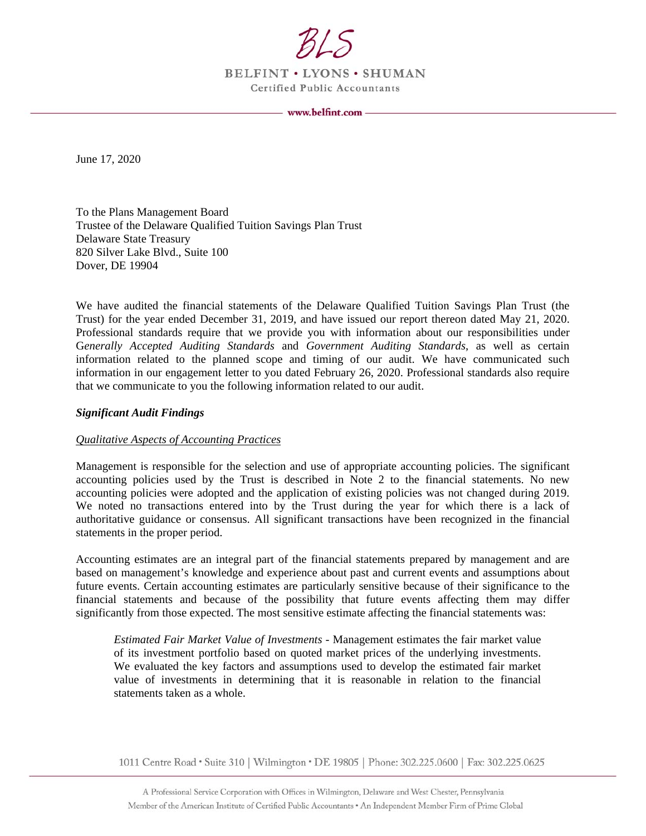

BELFINT . LYONS . SHUMAN Certified Public Accountants

www.belfint.com -

June 17, 2020

To the Plans Management Board Trustee of the Delaware Qualified Tuition Savings Plan Trust Delaware State Treasury 820 Silver Lake Blvd., Suite 100 Dover, DE 19904

We have audited the financial statements of the Delaware Qualified Tuition Savings Plan Trust (the Trust) for the year ended December 31, 2019, and have issued our report thereon dated May 21, 2020. Professional standards require that we provide you with information about our responsibilities under G*enerally Accepted Auditing Standards* and *Government Auditing Standards*, as well as certain information related to the planned scope and timing of our audit. We have communicated such information in our engagement letter to you dated February 26, 2020. Professional standards also require that we communicate to you the following information related to our audit.

## *Significant Audit Findings*

#### *Qualitative Aspects of Accounting Practices*

Management is responsible for the selection and use of appropriate accounting policies. The significant accounting policies used by the Trust is described in Note 2 to the financial statements. No new accounting policies were adopted and the application of existing policies was not changed during 2019. We noted no transactions entered into by the Trust during the year for which there is a lack of authoritative guidance or consensus. All significant transactions have been recognized in the financial statements in the proper period.

Accounting estimates are an integral part of the financial statements prepared by management and are based on management's knowledge and experience about past and current events and assumptions about future events. Certain accounting estimates are particularly sensitive because of their significance to the financial statements and because of the possibility that future events affecting them may differ significantly from those expected. The most sensitive estimate affecting the financial statements was:

*Estimated Fair Market Value of Investments* - Management estimates the fair market value of its investment portfolio based on quoted market prices of the underlying investments. We evaluated the key factors and assumptions used to develop the estimated fair market value of investments in determining that it is reasonable in relation to the financial statements taken as a whole.

1011 Centre Road • Suite 310 | Wilmington • DE 19805 | Phone: 302.225.0600 | Fax: 302.225.0625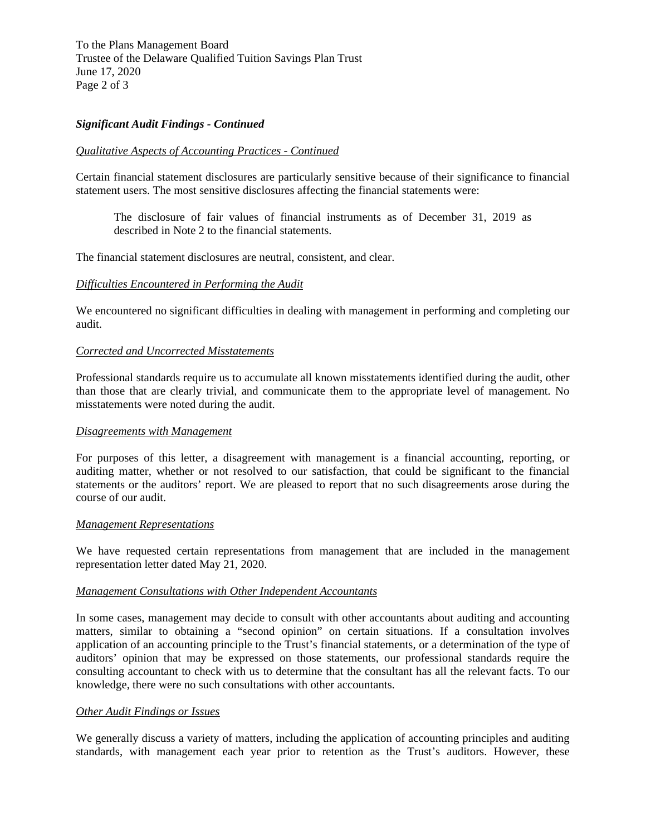To the Plans Management Board Trustee of the Delaware Qualified Tuition Savings Plan Trust June 17, 2020 Page 2 of 3

# *Significant Audit Findings - Continued*

## *Qualitative Aspects of Accounting Practices - Continued*

Certain financial statement disclosures are particularly sensitive because of their significance to financial statement users. The most sensitive disclosures affecting the financial statements were:

The disclosure of fair values of financial instruments as of December 31, 2019 as described in Note 2 to the financial statements.

The financial statement disclosures are neutral, consistent, and clear.

### *Difficulties Encountered in Performing the Audit*

We encountered no significant difficulties in dealing with management in performing and completing our audit.

### *Corrected and Uncorrected Misstatements*

Professional standards require us to accumulate all known misstatements identified during the audit, other than those that are clearly trivial, and communicate them to the appropriate level of management. No misstatements were noted during the audit.

## *Disagreements with Management*

For purposes of this letter, a disagreement with management is a financial accounting, reporting, or auditing matter, whether or not resolved to our satisfaction, that could be significant to the financial statements or the auditors' report. We are pleased to report that no such disagreements arose during the course of our audit.

#### *Management Representations*

We have requested certain representations from management that are included in the management representation letter dated May 21, 2020.

# *Management Consultations with Other Independent Accountants*

In some cases, management may decide to consult with other accountants about auditing and accounting matters, similar to obtaining a "second opinion" on certain situations. If a consultation involves application of an accounting principle to the Trust's financial statements, or a determination of the type of auditors' opinion that may be expressed on those statements, our professional standards require the consulting accountant to check with us to determine that the consultant has all the relevant facts. To our knowledge, there were no such consultations with other accountants.

#### *Other Audit Findings or Issues*

We generally discuss a variety of matters, including the application of accounting principles and auditing standards, with management each year prior to retention as the Trust's auditors. However, these